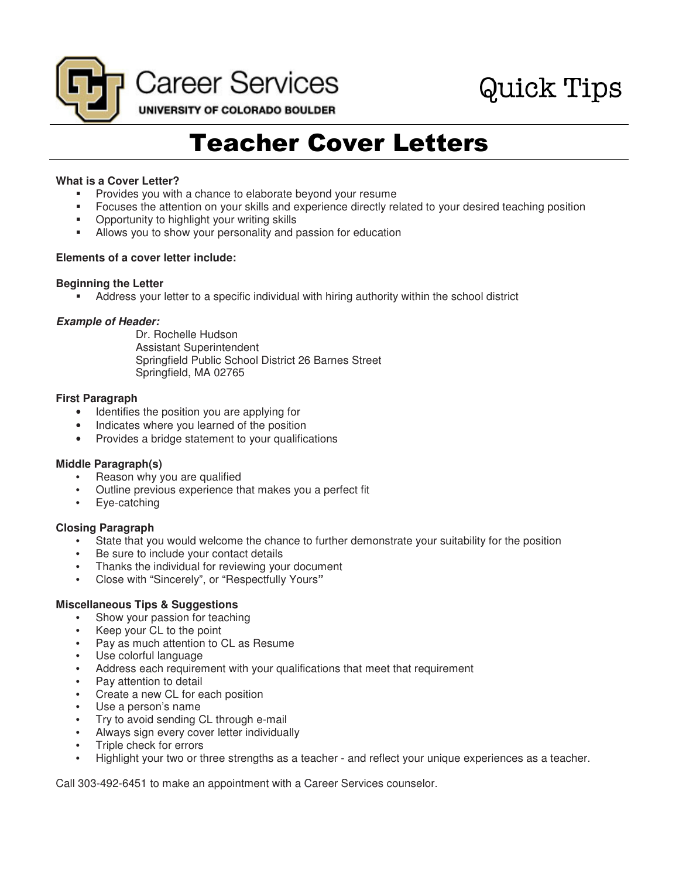

Teacher Cover Letters

## **What is a Cover Letter?**

- Provides you with a chance to elaborate beyond your resume
- Focuses the attention on your skills and experience directly related to your desired teaching position
- **•** Opportunity to highlight your writing skills
- Allows you to show your personality and passion for education

#### **Elements of a cover letter include:**

#### **Beginning the Letter**

Address your letter to a specific individual with hiring authority within the school district

#### **Example of Header:**

Dr. Rochelle Hudson Assistant Superintendent Springfield Public School District 26 Barnes Street Springfield, MA 02765

#### **First Paragraph**

- Identifies the position you are applying for
- Indicates where you learned of the position
- Provides a bridge statement to your qualifications

## **Middle Paragraph(s)**

- Reason why you are qualified
- Outline previous experience that makes you a perfect fit
- Eye-catching

## **Closing Paragraph**

- State that you would welcome the chance to further demonstrate your suitability for the position
- Be sure to include your contact details
- Thanks the individual for reviewing your document
- Close with "Sincerely", or "Respectfully Yours**"**

## **Miscellaneous Tips & Suggestions**

- Show your passion for teaching
- Keep your CL to the point
- Pay as much attention to CL as Resume
- Use colorful language
- Address each requirement with your qualifications that meet that requirement
- Pay attention to detail
- Create a new CL for each position
- Use a person's name
- Try to avoid sending CL through e-mail
- Always sign every cover letter individually
- Triple check for errors
- Highlight your two or three strengths as a teacher and reflect your unique experiences as a teacher.

Call 303-492-6451 to make an appointment with a Career Services counselor.